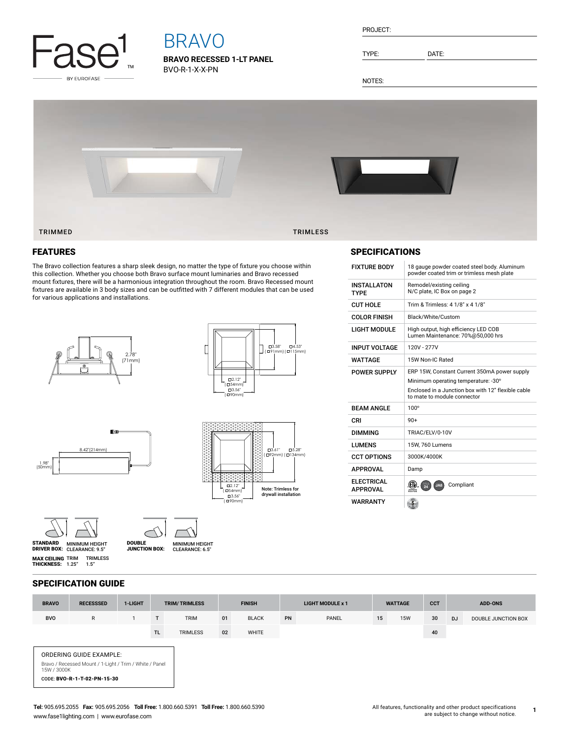

# BRAVO

**BRAVO RECESSED 1-LT PANEL** BVO-R-1-X-X-PN

| RN. | JF. |  |
|-----|-----|--|
|     |     |  |
|     |     |  |

TYPE: DATE:

NOTES:



# FEATURES

The Bravo collection features a sharp sleek design, no matter the type of fixture you choose within this collection. Whether you choose both Bravo surface mount luminaries and Bravo recessed mount fixtures, there will be a harmonious integration throughout the room. Bravo Recessed mount fixtures are available in 3 body sizes and can be outfitted with 7 different modules that can be used for various applications and installations.





# 8.42"(214mm) 1.98" (50mm)





DOUBLE JUNCTION BOX:

**MAX CEILING** TRIM<br>**Thickness:** 1.25" TRIMLESS 1.5"

MINIMUM HEIGHT CLEARANCE: 9.5" STANDARD DRIVER BOX: MINIMUM HEIGHT MINIMUM HEIGHT<br>CLEARANCE: 6.5"

### SPECIFICATIONS

| <b>FIXTURE BODY</b>               | 18 gauge powder coated steel body. Aluminum<br>powder coated trim or trimless mesh plate                                                                                 |  |  |  |  |  |
|-----------------------------------|--------------------------------------------------------------------------------------------------------------------------------------------------------------------------|--|--|--|--|--|
| <b>INSTALLATON</b><br><b>TYPF</b> | Remodel/existing ceiling<br>N/C plate, IC Box on page 2                                                                                                                  |  |  |  |  |  |
| <b>CUT HOLE</b>                   | Trim & Trimless: 4 1/8" x 4 1/8"                                                                                                                                         |  |  |  |  |  |
| <b>COLOR FINISH</b>               | Black/White/Custom                                                                                                                                                       |  |  |  |  |  |
| I IGHT MODULE                     | High output, high efficiency LED COB<br>Lumen Maintenance: 70%@50,000 hrs                                                                                                |  |  |  |  |  |
| <b>INPUT VOLTAGE</b>              | 120V - 277V                                                                                                                                                              |  |  |  |  |  |
| WATTAGF                           | 15W Non-IC Rated                                                                                                                                                         |  |  |  |  |  |
| <b>POWER SUPPLY</b>               | ERP 15W, Constant Current 350mA power supply<br>Minimum operating temperature: -30°<br>Enclosed in a Junction box with 12" flexible cable<br>to mate to module connector |  |  |  |  |  |
| <b>BFAM ANGLF</b>                 |                                                                                                                                                                          |  |  |  |  |  |
|                                   | $100^\circ$                                                                                                                                                              |  |  |  |  |  |
| CRI                               | $90+$                                                                                                                                                                    |  |  |  |  |  |
| <b>DIMMING</b>                    | TRIAC/ELV/0-10V                                                                                                                                                          |  |  |  |  |  |
| LUMENS                            | 15W, 760 Lumens                                                                                                                                                          |  |  |  |  |  |
| <b>CCT OPTIONS</b>                | 3000K/4000K                                                                                                                                                              |  |  |  |  |  |
| APPROVAL                          | Damp                                                                                                                                                                     |  |  |  |  |  |
| FI FCTRICAL<br><b>APPROVAL</b>    | Compliant<br>24<br>JA8                                                                                                                                                   |  |  |  |  |  |

#### SPECIFICATION GUIDE

| <b>BRAVO</b>                                                                                                                     | <b>RECESSSED</b> | 1-LIGHT | <b>TRIM/TRIMLESS</b> |                 | <b>FINISH</b> |              | <b>LIGHT MODULE x 1</b> |       | <b>WATTAGE</b> |            | <b>CCT</b> | <b>ADD-ONS</b> |                     |
|----------------------------------------------------------------------------------------------------------------------------------|------------------|---------|----------------------|-----------------|---------------|--------------|-------------------------|-------|----------------|------------|------------|----------------|---------------------|
| <b>BVO</b>                                                                                                                       | $\mathsf{R}$     |         |                      | <b>TRIM</b>     | 01            | <b>BLACK</b> | PN                      | PANEL | 15             | <b>15W</b> | 30         | <b>DJ</b>      | DOUBLE JUNCTION BOX |
|                                                                                                                                  |                  |         | TL.                  | <b>TRIMLESS</b> | 02            | WHITE        |                         |       |                |            | 40         |                |                     |
| ORDERING GUIDE EXAMPLE:<br>Bravo / Recessed Mount / 1-Light / Trim / White / Panel<br>15W / 3000K<br>CODE: BVO-R-1-T-02-PN-15-30 |                  |         |                      |                 |               |              |                         |       |                |            |            |                |                     |

Note: Trimless for drywall installation

 $5.28"$ ים) (n "03.61"<br>(D92mm)

**1**